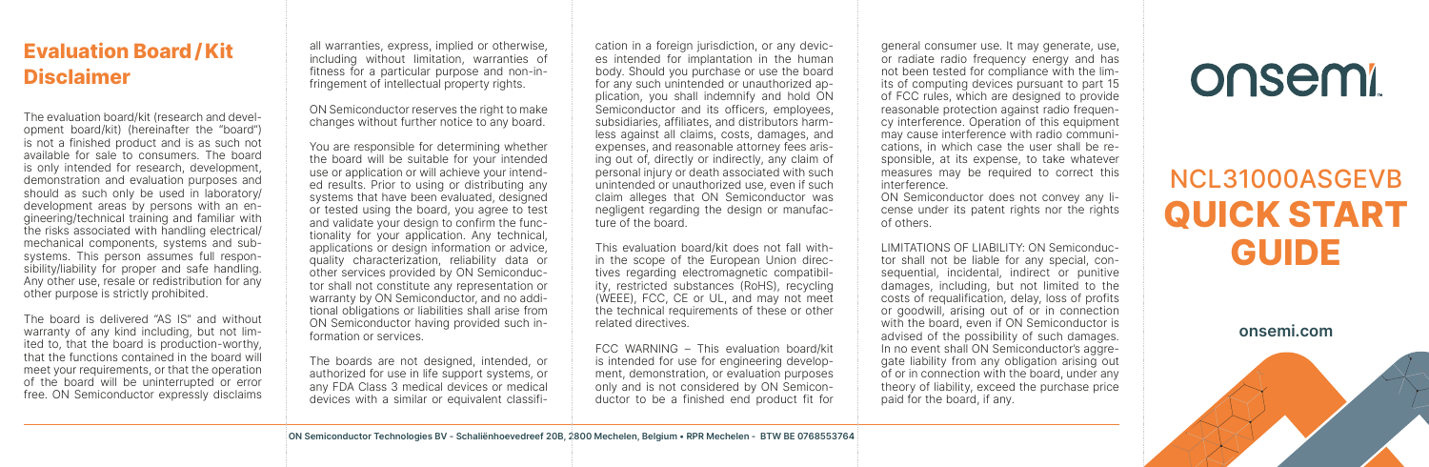## Evaluation Board / Kit Disclaimer

The evaluation board/kit (research and development board/kit) (hereinafter the "board") is not a finished product and is as such not available for sale to consumers. The board is only intended for research, development, demonstration and evaluation purposes and should as such only be used in laboratory/ development areas by persons with an engineering/technical training and familiar with the risks associated with handling electrical/ mechanical components, systems and subsystems. This person assumes full responsibility/liability for proper and safe handling. Any other use, resale or redistribution for any other purpose is strictly prohibited.

The board is delivered "AS IS" and without warranty of any kind including, but not limited to, that the board is production-worthy, that the functions contained in the board will meet your requirements, or that the operation of the board will be uninterrupted or error free. ON Semiconductor expressly disclaims all warranties, express, implied or otherwise, including without limitation, warranties of fitness for a particular purpose and non-infringement of intellectual property rights.

ON Semiconductor reserves the right to make changes without further notice to any board.

You are responsible for determining whether the board will be suitable for your intended use or application or will achieve your intended results. Prior to using or distributing any systems that have been evaluated, designed or tested using the board, you agree to test and validate your design to confirm the functionality for your application. Any technical, applications or design information or advice, quality characterization, reliability data or other services provided by ON Semiconductor shall not constitute any representation or warranty by ON Semiconductor, and no additional obligations or liabilities shall arise from ON Semiconductor having provided such information or services.

The boards are not designed, intended, or authorized for use in life support systems, or any FDA Class 3 medical devices or medical devices with a similar or equivalent classifi-

cation in a foreign jurisdiction, or any devices intended for implantation in the human body. Should you purchase or use the board for any such unintended or unauthorized application, you shall indemnify and hold ON Semiconductor and its officers, employees, subsidiaries, affiliates, and distributors harmless against all claims, costs, damages, and expenses, and reasonable attorney fees arising out of, directly or indirectly, any claim of personal injury or death associated with such unintended or unauthorized use, even if such claim alleges that ON Semiconductor was negligent regarding the design or manufacture of the board.

This evaluation board/kit does not fall within the scope of the European Union directives regarding electromagnetic compatibility, restricted substances (RoHS), recycling (WEEE), FCC, CE or UL, and may not meet the technical requirements of these or other related directives.

FCC WARNING – This evaluation board/kit is intended for use for engineering development, demonstration, or evaluation purposes only and is not considered by ON Semiconductor to be a finished end product fit for

general consumer use. It may generate, use, or radiate radio frequency energy and has not been tested for compliance with the limits of computing devices pursuant to part 15 of FCC rules, which are designed to provide reasonable protection against radio frequency interference. Operation of this equipment may cause interference with radio communications, in which case the user shall be responsible, at its expense, to take whatever measures may be required to correct this interference.

ON Semiconductor does not convey any license under its patent rights nor the rights of others.

LIMITATIONS OF LIABILITY: ON Semiconductor shall not be liable for any special, consequential, incidental, indirect or punitive damages, including, but not limited to the costs of requalification, delay, loss of profits or goodwill, arising out of or in connection with the board, even if ON Semiconductor is advised of the possibility of such damages. In no event shall ON Semiconductor's aggregate liability from any obligation arising out of or in connection with the board, under any theory of liability, exceed the purchase price paid for the board, if any.

## onsemi

## NCL31000ASGEVB QUICK START GUIDE

onsemi.com



ON Semiconductor Technologies BV - Schaliënhoevedreef 20B, 2800 Mechelen, Belgium • RPR Mechelen - BTW BE 0768553764